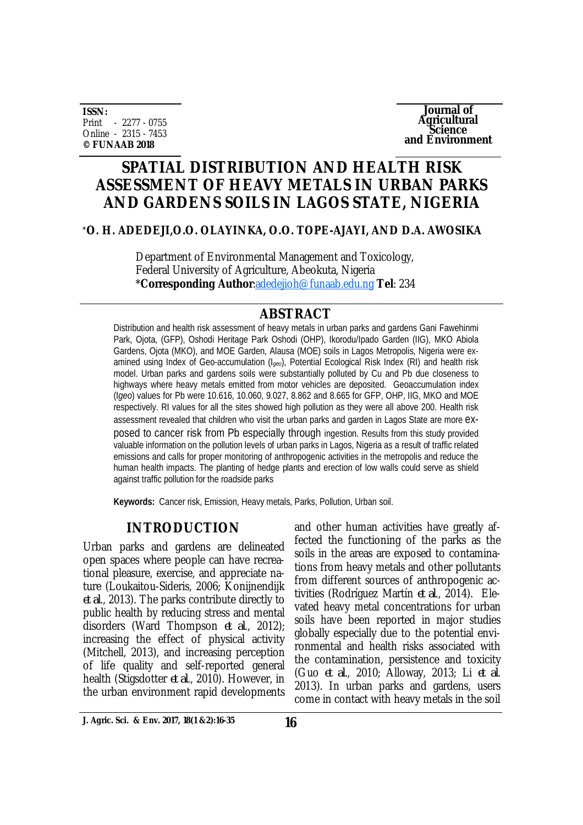**ISSN:** Print - 2277 - 0755 Online - 2315 - 7453 **© FUNAAB 2018**

**Journal of Agricultural Science and Environment**

# **SPATIAL DISTRIBUTION AND HEALTH RISK ASSESSMENT OF HEAVY METALS IN URBAN PARKS AND GARDENS SOILS IN LAGOS STATE, NIGERIA**

## **\*O. H. ADEDEJI,O.O. OLAYINKA, O.O. TOPE-AJAYI, AND D.A. AWOSIKA**

Department of Environmental Management and Toxicology, Federal University of Agriculture, Abeokuta, Nigeria \***Corresponding Author**[:adedejioh@funaab.edu.ng](mailto::adedejioh@funaab.edu.ng) **Tel**: 234

# **ABSTRACT**

Distribution and health risk assessment of heavy metals in urban parks and gardens Gani Fawehinmi Park, Ojota, (GFP), Oshodi Heritage Park Oshodi (OHP), Ikorodu/Ipado Garden (IIG), MKO Abiola Gardens, Ojota (MKO), and MOE Garden, Alausa (MOE) soils in Lagos Metropolis, Nigeria were examined using Index of Geo-accumulation (I*geo*), Potential Ecological Risk Index (RI) and health risk model. Urban parks and gardens soils were substantially polluted by Cu and Pb due closeness to highways where heavy metals emitted from motor vehicles are deposited. Geoaccumulation index (I*geo*) values for Pb were 10.616, 10.060, 9.027, 8.862 and 8.665 for GFP, OHP, IIG, MKO and MOE respectively. RI values for all the sites showed high pollution as they were all above 200. Health risk assessment revealed that children who visit the urban parks and garden in Lagos State are more exposed to cancer risk from Pb especially through ingestion. Results from this study provided valuable information on the pollution levels of urban parks in Lagos, Nigeria as a result of traffic related emissions and calls for proper monitoring of anthropogenic activities in the metropolis and reduce the human health impacts. The planting of hedge plants and erection of low walls could serve as shield against traffic pollution for the roadside parks

**Keywords:** Cancer risk, Emission, Heavy metals, Parks, Pollution, Urban soil.

# **INTRODUCTION**

Urban parks and gardens are delineated open spaces where people can have recreational pleasure, exercise, and appreciate nature (Loukaitou-Sideris, 2006; Konijnendijk *et al*., 2013). The parks contribute directly to public health by reducing stress and mental disorders (Ward Thompson *et al*., 2012); increasing the effect of physical activity (Mitchell, 2013), and increasing perception of life quality and self-reported general health (Stigsdotter *et al*., 2010). However, in the urban environment rapid developments

and other human activities have greatly affected the functioning of the parks as the soils in the areas are exposed to contaminations from heavy metals and other pollutants from different sources of anthropogenic activities (Rodríguez Martín *et al*., 2014). Elevated heavy metal concentrations for urban soils have been reported in major studies globally especially due to the potential environmental and health risks associated with the contamination, persistence and toxicity (Guo *et al*., 2010; Alloway, 2013; Li *et al*. 2013). In urban parks and gardens, users come in contact with heavy metals in the soil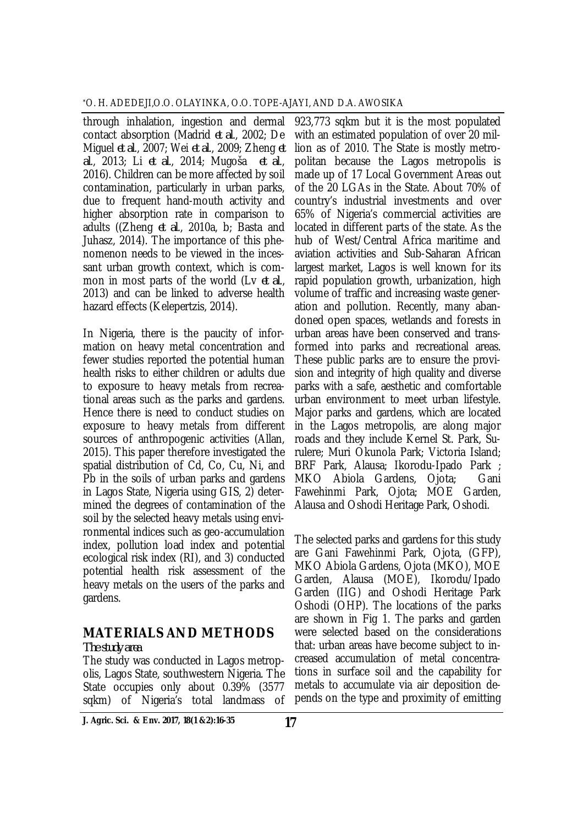through inhalation, ingestion and dermal contact absorption (Madrid *et al*., 2002; De Miguel *et al*., 2007; Wei *et al*., 2009; Zheng *et al*., 2013; Li *et al*., 2014; Mugoša *et al*., 2016). Children can be more affected by soil contamination, particularly in urban parks, due to frequent hand-mouth activity and higher absorption rate in comparison to adults ((Zheng *et al*., 2010a, b; Basta and Juhasz, 2014). The importance of this phenomenon needs to be viewed in the incessant urban growth context, which is common in most parts of the world (Lv *et al*., 2013) and can be linked to adverse health hazard effects (Kelepertzis, 2014).

In Nigeria, there is the paucity of information on heavy metal concentration and fewer studies reported the potential human health risks to either children or adults due to exposure to heavy metals from recreational areas such as the parks and gardens. Hence there is need to conduct studies on exposure to heavy metals from different sources of anthropogenic activities (Allan, 2015). This paper therefore investigated the spatial distribution of Cd, Co, Cu, Ni, and Pb in the soils of urban parks and gardens in Lagos State, Nigeria using GIS, 2) determined the degrees of contamination of the soil by the selected heavy metals using environmental indices such as geo-accumulation index, pollution load index and potential ecological risk index (RI), and 3) conducted potential health risk assessment of the heavy metals on the users of the parks and gardens.

# **MATERIALS AND METHODS**

#### *The study area*

The study was conducted in Lagos metropolis, Lagos State, southwestern Nigeria. The State occupies only about 0.39% (3577 sqkm) of Nigeria's total landmass of

923,773 sqkm but it is the most populated with an estimated population of over 20 million as of 2010. The State is mostly metropolitan because the Lagos metropolis is made up of 17 Local Government Areas out of the 20 LGAs in the State. About 70% of country's industrial investments and over 65% of Nigeria's commercial activities are located in different parts of the state. As the hub of West/Central Africa maritime and aviation activities and Sub-Saharan African largest market, Lagos is well known for its rapid population growth, urbanization, high volume of traffic and increasing waste generation and pollution. Recently, many abandoned open spaces, wetlands and forests in urban areas have been conserved and transformed into parks and recreational areas. These public parks are to ensure the provision and integrity of high quality and diverse parks with a safe, aesthetic and comfortable urban environment to meet urban lifestyle. Major parks and gardens, which are located in the Lagos metropolis, are along major roads and they include Kernel St. Park, Surulere; Muri Okunola Park; Victoria Island; BRF Park, Alausa; Ikorodu-Ipado Park ; MKO Abiola Gardens, Ojota; Gani Fawehinmi Park, Ojota; MOE Garden, Alausa and Oshodi Heritage Park, Oshodi.

The selected parks and gardens for this study are Gani Fawehinmi Park, Ojota, (GFP), MKO Abiola Gardens, Ojota (MKO), MOE Garden, Alausa (MOE), Ikorodu/Ipado Garden (IIG) and Oshodi Heritage Park Oshodi (OHP). The locations of the parks are shown in Fig 1. The parks and garden were selected based on the considerations that: urban areas have become subject to increased accumulation of metal concentrations in surface soil and the capability for metals to accumulate via air deposition depends on the type and proximity of emitting

**17 J. Agric. Sci. & Env. 2017, 18(1 &2):16-35**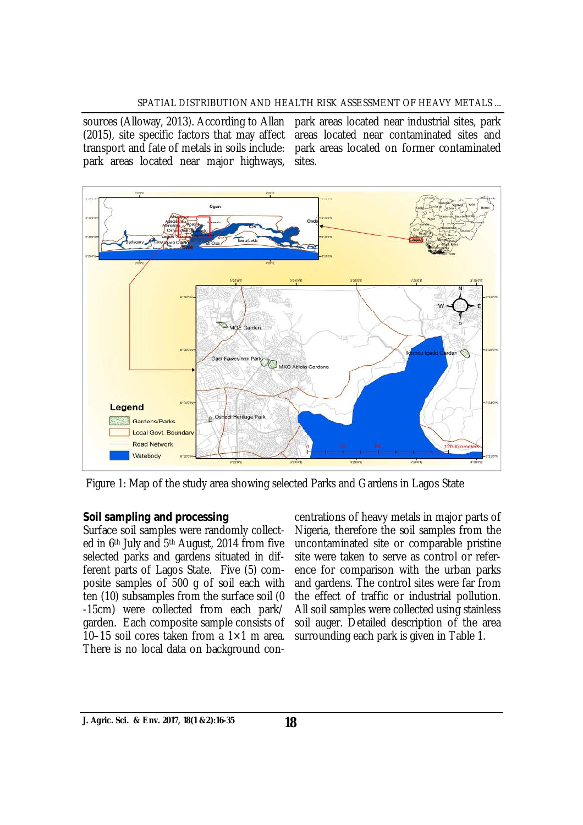#### SPATIAL DISTRIBUTION AND HEALTH RISK ASSESSMENT OF HEAVY METALS ...

sources (Alloway, 2013). According to Allan transport and fate of metals in soils include: park areas located near major highways,

(2015), site specific factors that may affect areas located near contaminated sites and park areas located near industrial sites, park park areas located on former contaminated sites.



Figure 1: Map of the study area showing selected Parks and Gardens in Lagos State

### *Soil sampling and processing*

Surface soil samples were randomly collected in 6th July and 5th August, 2014 from five selected parks and gardens situated in different parts of Lagos State. Five (5) composite samples of 500 g of soil each with ten (10) subsamples from the surface soil (0 -15cm) were collected from each park/ garden. Each composite sample consists of 10–15 soil cores taken from a  $1\times1$  m area. There is no local data on background con-

centrations of heavy metals in major parts of Nigeria, therefore the soil samples from the uncontaminated site or comparable pristine site were taken to serve as control or reference for comparison with the urban parks and gardens. The control sites were far from the effect of traffic or industrial pollution. All soil samples were collected using stainless soil auger. Detailed description of the area surrounding each park is given in Table 1.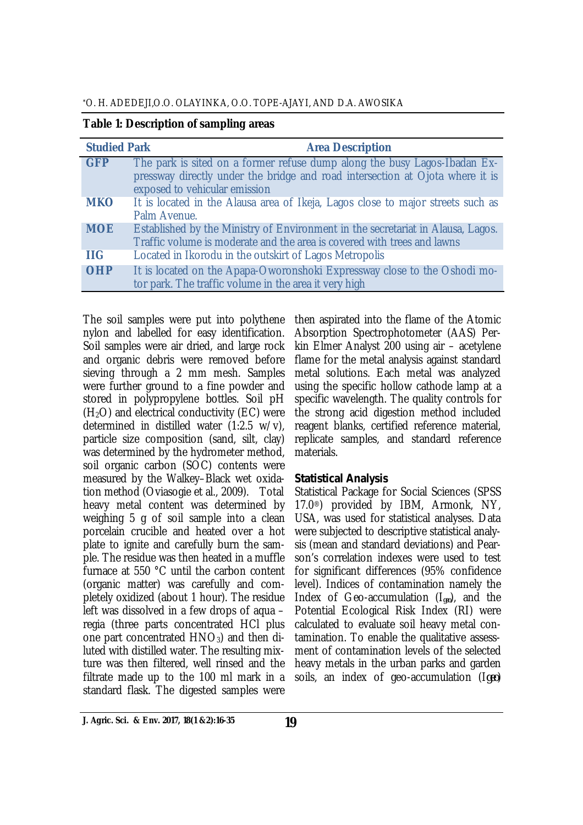\*O. H. ADEDEJI,O.O. OLAYINKA, O.O. TOPE-AJAYI, AND D.A. AWOSIKA

| <b>Studied Park</b> | <b>Area Description</b>                                                                                                                                                                     |
|---------------------|---------------------------------------------------------------------------------------------------------------------------------------------------------------------------------------------|
| <b>GFP</b>          | The park is sited on a former refuse dump along the busy Lagos-Ibadan Ex-<br>pressway directly under the bridge and road intersection at Ojota where it is<br>exposed to vehicular emission |
| <b>MKO</b>          | It is located in the Alausa area of Ikeja, Lagos close to major streets such as<br>Palm Avenue.                                                                                             |
| <b>MOE</b>          | Established by the Ministry of Environment in the secretariat in Alausa, Lagos.<br>Traffic volume is moderate and the area is covered with trees and lawns                                  |
| <b>IIG</b>          | Located in Ikorodu in the outskirt of Lagos Metropolis                                                                                                                                      |
| <b>OHP</b>          | It is located on the Apapa-Oworonshoki Expressway close to the Oshodi mo-<br>tor park. The traffic volume in the area it very high                                                          |

The soil samples were put into polythene nylon and labelled for easy identification. Soil samples were air dried, and large rock and organic debris were removed before sieving through a 2 mm mesh. Samples were further ground to a fine powder and stored in polypropylene bottles. Soil pH  $(H<sub>2</sub>O)$  and electrical conductivity (EC) were determined in distilled water (1:2.5 w/v), particle size composition (sand, silt, clay) was determined by the hydrometer method, soil organic carbon (SOC) contents were measured by the Walkey–Black wet oxidation method (Oviasogie et al., 2009). Total heavy metal content was determined by weighing 5 g of soil sample into a clean porcelain crucible and heated over a hot plate to ignite and carefully burn the sample. The residue was then heated in a muffle furnace at 550 °C until the carbon content (organic matter) was carefully and completely oxidized (about 1 hour). The residue left was dissolved in a few drops of aqua – regia (three parts concentrated HCl plus one part concentrated  $HNO<sub>3</sub>$ ) and then diluted with distilled water. The resulting mixture was then filtered, well rinsed and the filtrate made up to the 100 ml mark in a standard flask. The digested samples were

then aspirated into the flame of the Atomic Absorption Spectrophotometer (AAS) Perkin Elmer Analyst 200 using air – acetylene flame for the metal analysis against standard metal solutions. Each metal was analyzed using the specific hollow cathode lamp at a specific wavelength. The quality controls for the strong acid digestion method included reagent blanks, certified reference material, replicate samples, and standard reference materials.

### *Statistical Analysis*

Statistical Package for Social Sciences (SPSS 17.0®) provided by IBM, Armonk, NY, USA, was used for statistical analyses. Data were subjected to descriptive statistical analysis (mean and standard deviations) and Pearson's correlation indexes were used to test for significant differences (95% confidence level). Indices of contamination namely the Index of Geo-accumulation (I<sub>geo</sub>), and the Potential Ecological Risk Index (RI) were calculated to evaluate soil heavy metal contamination. To enable the qualitative assessment of contamination levels of the selected heavy metals in the urban parks and garden soils, an index of geo-accumulation (I*geo*)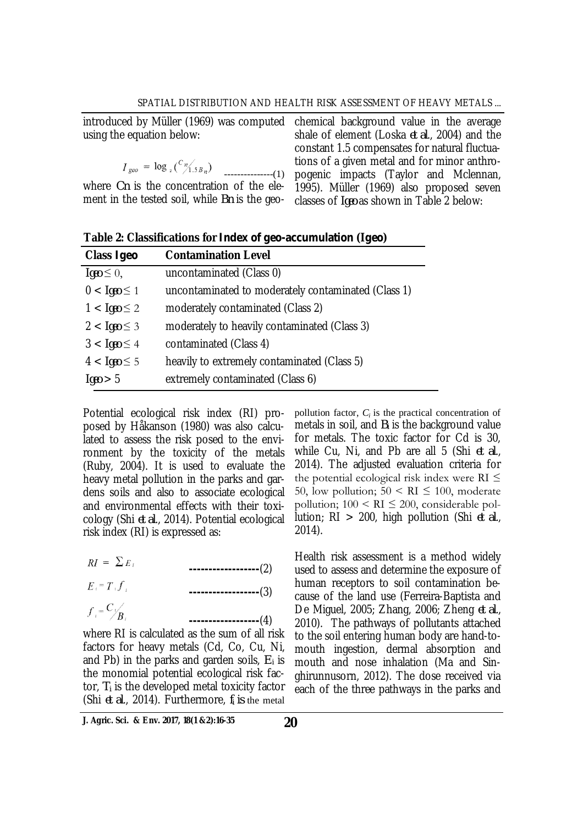using the equation below:

$$
I_{geo} = \log_{2}(\frac{c_{\eta_{ABn}}}{\eta_{ABn}})
$$
  
where *On* is the concentration of the ele-  
ment in the tested soil, while *Bin* is the geo-

introduced by Müller (1969) was computed chemical background value in the average shale of element (Loska *et al*., 2004) and the constant 1.5 compensates for natural fluctuations of a given metal and for minor anthropogenic impacts (Taylor and Mclennan, 1995). Müller (1969) also proposed seven classes of *Igeo* as shown in Table 2 below:

|  | Table 2: Classifications for Index of geo-accumulation (Igeo) |  |
|--|---------------------------------------------------------------|--|
|--|---------------------------------------------------------------|--|

| Class Igeo                 | <b>Contamination Level</b>                          |
|----------------------------|-----------------------------------------------------|
| $\textit{Igeo} \leq 0$ ,   | uncontaminated (Class 0)                            |
| $0 < \textit{Igeo} \leq 1$ | uncontaminated to moderately contaminated (Class 1) |
| $1 < \text{lgeo} \leq 2$   | moderately contaminated (Class 2)                   |
| $2 < \textit{Igeo} \leq 3$ | moderately to heavily contaminated (Class 3)        |
| $3 < \textit{lgeo} \leq 4$ | contaminated (Class 4)                              |
| $4 < \textit{Igeo} \leq 5$ | heavily to extremely contaminated (Class 5)         |
| Iqeo > 5                   | extremely contaminated (Class 6)                    |

Potential ecological risk index (RI) proposed by Håkanson (1980) was also calculated to assess the risk posed to the environment by the toxicity of the metals (Ruby, 2004). It is used to evaluate the heavy metal pollution in the parks and gardens soils and also to associate ecological and environmental effects with their toxicology (Shi *et al*., 2014). Potential ecological risk index (RI) is expressed as:

 $RI = \sum E_i$ **------------------**(2)

$$
E_i = T_i f_i
$$
\n
$$
f_i = \frac{C_i}{B_i}
$$
\n(4)

$$
\cdots \cdots \cdots \cdots \cdots \cdots \cdots \cdots (4)
$$

where RI is calculated as the sum of all risk factors for heavy metals (Cd, Co, Cu, Ni, and Pb) in the parks and garden soils, *E<sup>i</sup>* is the monomial potential ecological risk factor, *T<sup>i</sup>* is the developed metal toxicity factor (Shi *et al*., 2014). Furthermore, *fi is* the metal

pollution factor, *Ci* is the practical concentration of metals in soil, and *B<sup>i</sup>* is the background value for metals. The toxic factor for Cd is 30, while Cu, Ni, and Pb are all 5 (Shi *et al*., 2014). The adjusted evaluation criteria for the potential ecological risk index were  $RI \leq$ 50, low pollution;  $50 \leq R$ I  $\leq 100$ , moderate pollution;  $100 \leq RI \leq 200$ , considerable pollution; RI > 200, high pollution (Shi *et al*., 2014).

Health risk assessment is a method widely used to assess and determine the exposure of human receptors to soil contamination because of the land use (Ferreira-Baptista and De Miguel, 2005; Zhang, 2006; Zheng *et al*., 2010). The pathways of pollutants attached to the soil entering human body are hand-tomouth ingestion, dermal absorption and mouth and nose inhalation (Ma and Singhirunnusorn, 2012). The dose received via each of the three pathways in the parks and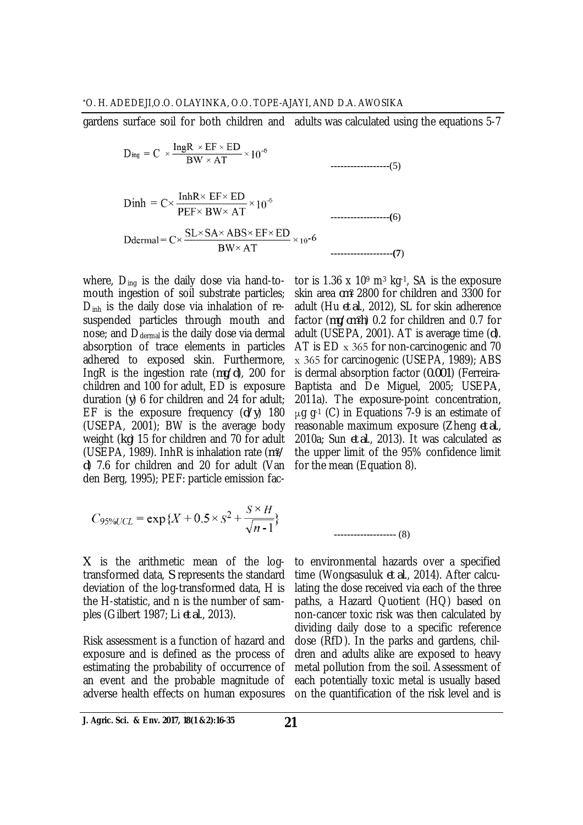gardens surface soil for both children and adults was calculated using the equations 5-7

 $D_{ing} = C \times \frac{IngR \times EF \times ED}{BW \times AT} \times 10^{-6}$ **------------------**(5)  $Dinh = C \times \frac{InhR \times EF \times ED}{PEF \times BW \times AT} \times 10^{-6}$ **------------------(**6) Ddermal =  $C \times \frac{SL \times SA \times ABS \times EF \times ED}{BW \times AT} \times 10^{-6}$  ---------------------(7)

mouth ingestion of soil substrate particles; D<sub>inh</sub> is the daily dose via inhalation of resuspended particles through mouth and nose; and D<sub>dermal</sub> is the daily dose via dermal absorption of trace elements in particles adhered to exposed skin. Furthermore, IngR is the ingestion rate (*mg/d*), 200 for children and 100 for adult, ED is exposure duration (*y*) 6 for children and 24 for adult; EF is the exposure frequency (*d/y*) 180 (USEPA, 2001); BW is the average body weight (*kg*) 15 for children and 70 for adult (USEPA, 1989). InhR is inhalation rate (*m3/ d*) 7.6 for children and 20 for adult (Van den Berg, 1995); PEF: particle emission fac-

$$
C_{95\% UCL} = \exp\{X + 0.5 \times S^2 + \frac{S \times H}{\sqrt{n-1}}\}
$$

*X* is the arithmetic mean of the logtransformed data, *S* represents the standard deviation of the log-transformed data, H is the H-statistic, and n is the number of samples (Gilbert 1987; Li *et al*., 2013).

Risk assessment is a function of hazard and exposure and is defined as the process of estimating the probability of occurrence of an event and the probable magnitude of adverse health effects on human exposures

where,  $D_{\text{ing}}$  is the daily dose via hand-to-  $\,$  tor is 1.36 x 10° m $^3$  kg $^{\text{-1}}$ , SA is the exposure skin area *cm<sup>2</sup>* 2800 for children and 3300 for adult (Hu *et al*., 2012), SL for skin adherence factor (*mg/cm2h*) 0.2 for children and 0.7 for adult (USEPA, 2001). AT is average time (*d*). AT is ED x 365 for non-carcinogenic and 70 х 365 for carcinogenic (USEPA, 1989); ABS is dermal absorption factor (*0.001*) (Ferreira-Baptista and De Miguel, 2005; USEPA, 2011a). The exposure-point concentration,  $μ$ g q $-1$  (C) in Equations 7-9 is an estimate of reasonable maximum exposure (Zheng *et al*., 2010a; Sun *et al*., 2013). It was calculated as the upper limit of the 95% confidence limit for the mean (Equation 8).

**-------------------** (8)

to environmental hazards over a specified time (Wongsasuluk *et al*., 2014). After calculating the dose received via each of the three paths, a Hazard Quotient (HQ) based on non-cancer toxic risk was then calculated by dividing daily dose to a specific reference dose (RfD). In the parks and gardens, children and adults alike are exposed to heavy metal pollution from the soil. Assessment of each potentially toxic metal is usually based on the quantification of the risk level and is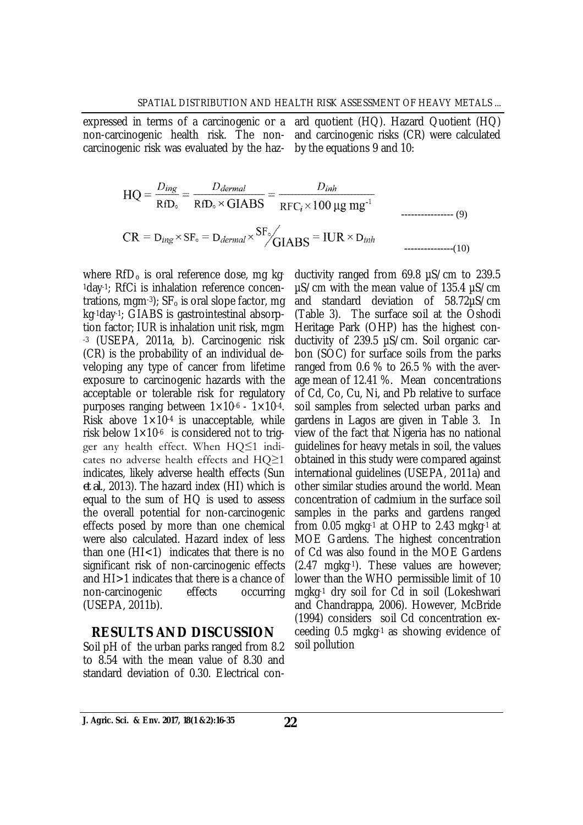expressed in terms of a carcinogenic or a ard quotient (HQ). Hazard Quotient (HQ) non-carcinogenic health risk. The noncarcinogenic risk was evaluated by the hazand carcinogenic risks (CR) were calculated by the equations 9 and 10:

$$
HQ = \frac{D_{ing}}{RfD_{\circ}} = \frac{D_{dermal}}{RfD_{\circ} \times GIABS} = \frac{D_{inh}}{RFC_i \times 100 \, \mu g \, mg^{-1}}
$$
\n
$$
CR = D_{ing} \times SF_{\circ} = D_{dermal} \times \frac{SF_{\circ}}{IGBAS} = IUR \times D_{inh}
$$
\n
$$
M = 0.001
$$

where  $RfD_0$  is oral reference dose, mg kg-1day-1; RfCi is inhalation reference concentrations, mgm-3);  $SF<sub>o</sub>$  is oral slope factor, mg kg-1day-1; GIABS is gastrointestinal absorption factor; IUR is inhalation unit risk, mgm -3 (USEPA, 2011a, b). Carcinogenic risk (CR) is the probability of an individual developing any type of cancer from lifetime exposure to carcinogenic hazards with the acceptable or tolerable risk for regulatory purposes ranging between  $1 \times 10^{-6}$  -  $1 \times 10^{-4}$ . Risk above  $1 \times 10^{-4}$  is unacceptable, while risk below  $1\times10^{-6}$  is considered not to trigger any health effect. When HQ≤1 indicates no adverse health effects and HQ≥1 indicates, likely adverse health effects (Sun *et al*., 2013). The hazard index (HI) which is equal to the sum of HQ is used to assess the overall potential for non-carcinogenic effects posed by more than one chemical were also calculated. Hazard index of less than one  $(HI<1)$  indicates that there is no significant risk of non-carcinogenic effects and HI>1 indicates that there is a chance of non-carcinogenic effects occurring (USEPA, 2011b).

#### **RESULTS AND DISCUSSION**

Soil pH of the urban parks ranged from 8.2 to 8.54 with the mean value of 8.30 and standard deviation of 0.30. Electrical conductivity ranged from 69.8 µS/cm to 239.5 µS/cm with the mean value of 135.4 µS/cm and standard deviation of 58.72µS/cm (Table 3). The surface soil at the Oshodi Heritage Park (OHP) has the highest conductivity of 239.5 µS/cm. Soil organic carbon (SOC) for surface soils from the parks ranged from 0.6 % to 26.5 % with the average mean of 12.41 %. Mean concentrations of Cd, Co, Cu, Ni, and Pb relative to surface soil samples from selected urban parks and gardens in Lagos are given in Table 3. In view of the fact that Nigeria has no national guidelines for heavy metals in soil, the values obtained in this study were compared against international guidelines (USEPA, 2011a) and other similar studies around the world. Mean concentration of cadmium in the surface soil samples in the parks and gardens ranged from 0.05 mgkg-1 at OHP to 2.43 mgkg-1 at MOE Gardens. The highest concentration of Cd was also found in the MOE Gardens (2.47 mgkg-1). These values are however; lower than the WHO permissible limit of 10 mgkg-1 dry soil for Cd in soil (Lokeshwari and Chandrappa, 2006). However, McBride (1994) considers soil Cd concentration exceeding 0.5 mgkg-1 as showing evidence of soil pollution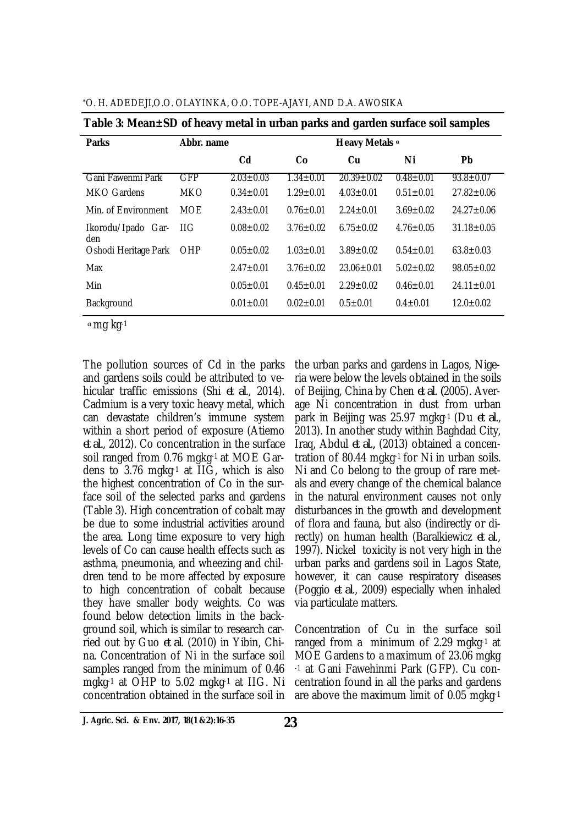| °O. H. ADEDEJI,O.O. OLAYINKA, O.O. TOPE-AJAYI, AND D.A. AWOSIKA |  |
|-----------------------------------------------------------------|--|
|                                                                 |  |

| <b>Parks</b>              | Abbr. name |                 |                 | Heavy Metals a   |                 |                  |
|---------------------------|------------|-----------------|-----------------|------------------|-----------------|------------------|
|                           |            | Cd              | Co              | Cu               | Ni              | Pb               |
| Gani Fawenmi Park         | <b>GFP</b> | $2.03 \pm 0.03$ | $1.34 \pm 0.01$ | $20.39 \pm 0.02$ | $0.48 \pm 0.01$ | $93.8 \pm 0.07$  |
| MKO Gardens               | <b>MKO</b> | $0.34 \pm 0.01$ | $1.29 \pm 0.01$ | $4.03 \pm 0.01$  | $0.51 \pm 0.01$ | $27.82 \pm 0.06$ |
| Min. of Environment       | <b>MOE</b> | $2.43 \pm 0.01$ | $0.76 \pm 0.01$ | $2.24 \pm 0.01$  | $3.69 \pm 0.02$ | $24.27 \pm 0.06$ |
| Ikorodu/Ipado Gar-<br>den | 1IG        | $0.08 \pm 0.02$ | $3.76 \pm 0.02$ | $6.75 \pm 0.02$  | $4.76 \pm 0.05$ | $31.18 \pm 0.05$ |
| Oshodi Heritage Park      | OHP        | $0.05 \pm 0.02$ | $1.03 \pm 0.01$ | $3.89 \pm 0.02$  | $0.54 \pm 0.01$ | $63.8 \pm 0.03$  |
| Max                       |            | $2.47 \pm 0.01$ | $3.76 \pm 0.02$ | $23.06 \pm 0.01$ | $5.02 \pm 0.02$ | $98.05 \pm 0.02$ |
| Min                       |            | $0.05 \pm 0.01$ | $0.45 \pm 0.01$ | $2.29 \pm 0.02$  | $0.46 \pm 0.01$ | $24.11 \pm 0.01$ |
| Background                |            | $0.01 \pm 0.01$ | $0.02 \pm 0.01$ | $0.5 \pm 0.01$   | $0.4 \pm 0.01$  | $12.0 \pm 0.02$  |

|  |  | Table 3: Mean±SD of heavy metal in urban parks and garden surface soil samples |
|--|--|--------------------------------------------------------------------------------|
|  |  |                                                                                |

<sup>ɑ</sup> mg kg-1

The pollution sources of Cd in the parks and gardens soils could be attributed to vehicular traffic emissions (Shi *et al*., 2014). Cadmium is a very toxic heavy metal, which can devastate children's immune system within a short period of exposure (Atiemo *et al.*, 2012). Co concentration in the surface soil ranged from 0.76 mgkg-1 at MOE Gardens to 3.76 mgkg-1 at IIG, which is also the highest concentration of Co in the surface soil of the selected parks and gardens (Table 3). High concentration of cobalt may be due to some industrial activities around the area. Long time exposure to very high levels of Co can cause health effects such as asthma, pneumonia, and wheezing and children tend to be more affected by exposure to high concentration of cobalt because they have smaller body weights. Co was found below detection limits in the background soil, which is similar to research carried out by Guo *et al*. (2010) in Yibin, China. Concentration of Ni in the surface soil samples ranged from the minimum of 0.46 mgkg-1 at OHP to 5.02 mgkg-1 at IIG. Ni concentration obtained in the surface soil in

the urban parks and gardens in Lagos, Nigeria were below the levels obtained in the soils of Beijing, China by Chen *et al. (*2005)*.* Average Ni concentration in dust from urban park in Beijing was 25.97 mgkg-1 (Du *et al*., 2013). In another study within Baghdad City, Iraq, Abdul *et al.,* (2013) obtained a concentration of 80.44 mgkg-1 for Ni in urban soils. Ni and Co belong to the group of rare metals and every change of the chemical balance in the natural environment causes not only disturbances in the growth and development of flora and fauna, but also (indirectly or directly) on human health (Baralkiewicz *et al*., 1997). Nickel toxicity is not very high in the urban parks and gardens soil in Lagos State, however, it can cause respiratory diseases (Poggio *et al*., 2009) especially when inhaled via particulate matters.

Concentration of Cu in the surface soil ranged from a minimum of 2.29 mgkg-1 at MOE Gardens to a maximum of 23.06 mgkg -1 at Gani Fawehinmi Park (GFP). Cu concentration found in all the parks and gardens are above the maximum limit of 0.05 mgkg-1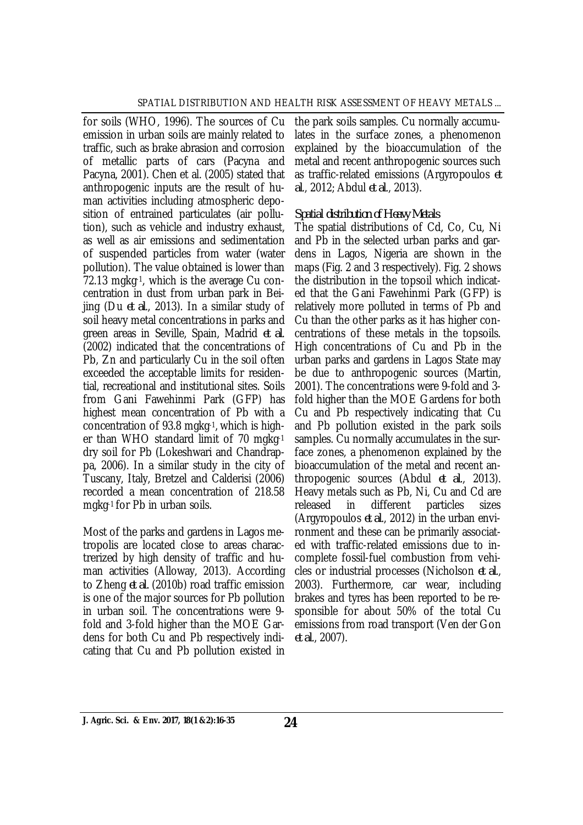for soils (WHO, 1996). The sources of Cu emission in urban soils are mainly related to traffic, such as brake abrasion and corrosion of metallic parts of cars (Pacyna and Pacyna, 2001). Chen et al. (2005) stated that anthropogenic inputs are the result of human activities including atmospheric deposition of entrained particulates (air pollution), such as vehicle and industry exhaust, as well as air emissions and sedimentation of suspended particles from water (water pollution). The value obtained is lower than 72.13 mgkg-1, which is the average Cu concentration in dust from urban park in Beijing (Du *et al*., 2013). In a similar study of soil heavy metal concentrations in parks and green areas in Seville, Spain, Madrid *et al*. (2002) indicated that the concentrations of Pb, Zn and particularly Cu in the soil often exceeded the acceptable limits for residential, recreational and institutional sites. Soils from Gani Fawehinmi Park (GFP) has highest mean concentration of Pb with a concentration of 93.8 mgkg-1, which is higher than WHO standard limit of 70 mgkg-1 dry soil for Pb (Lokeshwari and Chandrappa, 2006). In a similar study in the city of Tuscany, Italy, Bretzel and Calderisi (2006) recorded a mean concentration of 218.58 mgkg-1 for Pb in urban soils.

Most of the parks and gardens in Lagos metropolis are located close to areas charactrerized by high density of traffic and human activities (Alloway, 2013). According to Zheng *et al.* (2010b) road traffic emission is one of the major sources for Pb pollution in urban soil. The concentrations were 9 fold and 3-fold higher than the MOE Gardens for both Cu and Pb respectively indicating that Cu and Pb pollution existed in

the park soils samples. Cu normally accumulates in the surface zones, a phenomenon explained by the bioaccumulation of the metal and recent anthropogenic sources such as traffic-related emissions (Argyropoulos *et al*., 2012; Abdul *et al*., 2013).

### *Spatial distribution of Heavy Metals*

The spatial distributions of Cd, Co, Cu, Ni and Pb in the selected urban parks and gardens in Lagos, Nigeria are shown in the maps (Fig. 2 and 3 respectively). Fig. 2 shows the distribution in the topsoil which indicated that the Gani Fawehinmi Park (GFP) is relatively more polluted in terms of Pb and Cu than the other parks as it has higher concentrations of these metals in the topsoils. High concentrations of Cu and Pb in the urban parks and gardens in Lagos State may be due to anthropogenic sources (Martin, 2001). The concentrations were 9-fold and 3 fold higher than the MOE Gardens for both Cu and Pb respectively indicating that Cu and Pb pollution existed in the park soils samples. Cu normally accumulates in the surface zones, a phenomenon explained by the bioaccumulation of the metal and recent anthropogenic sources (Abdul *et al*., 2013). Heavy metals such as Pb, Ni, Cu and Cd are released in different particles sizes (Argyropoulos *et al*., 2012) in the urban environment and these can be primarily associated with traffic-related emissions due to incomplete fossil-fuel combustion from vehicles or industrial processes (Nicholson *et al*., 2003). Furthermore, car wear, including brakes and tyres has been reported to be responsible for about 50% of the total Cu emissions from road transport (Ven der Gon *et al*., 2007).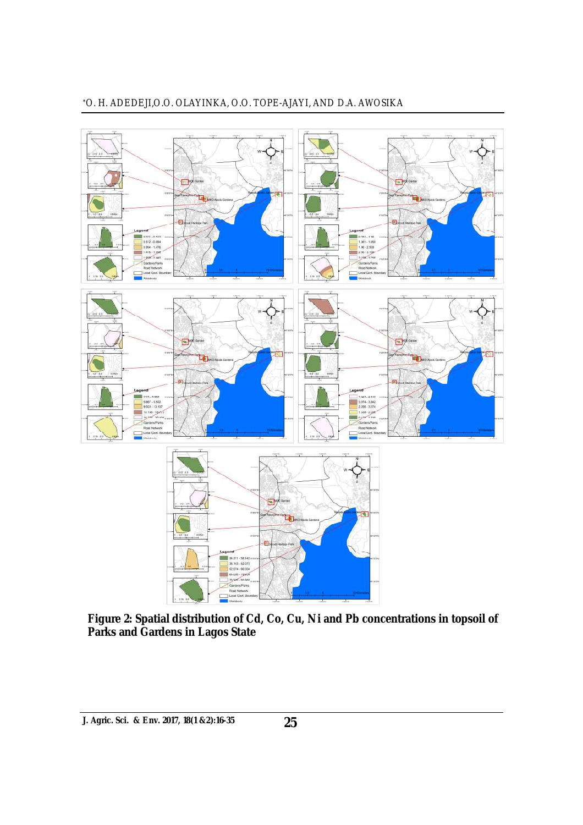

**Figure 2: Spatial distribution of Cd, Co, Cu, Ni and Pb concentrations in topsoil of Parks and Gardens in Lagos State**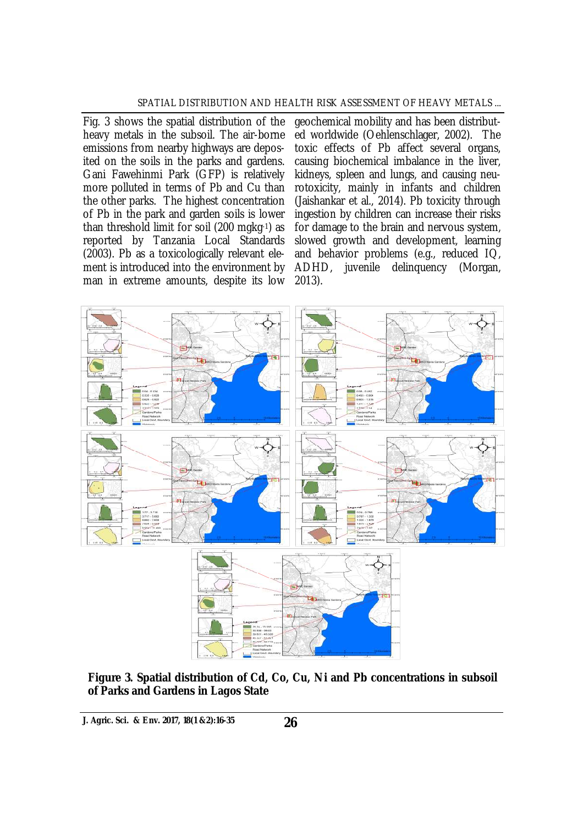Fig. 3 shows the spatial distribution of the heavy metals in the subsoil. The air-borne emissions from nearby highways are deposited on the soils in the parks and gardens. Gani Fawehinmi Park (GFP) is relatively more polluted in terms of Pb and Cu than the other parks. The highest concentration of Pb in the park and garden soils is lower than threshold limit for soil (200 mgkg-1) as reported by Tanzania Local Standards (2003). Pb as a toxicologically relevant element is introduced into the environment by man in extreme amounts, despite its low

geochemical mobility and has been distributed worldwide (Oehlenschlager, 2002). The toxic effects of Pb affect several organs, causing biochemical imbalance in the liver, kidneys, spleen and lungs, and causing neurotoxicity, mainly in infants and children (Jaishankar et al., 2014). Pb toxicity through ingestion by children can increase their risks for damage to the brain and nervous system, slowed growth and development, learning and behavior problems (e.g., reduced IQ, ADHD, juvenile delinquency (Morgan, 2013).



**Figure 3. Spatial distribution of Cd, Co, Cu, Ni and Pb concentrations in subsoil of Parks and Gardens in Lagos State**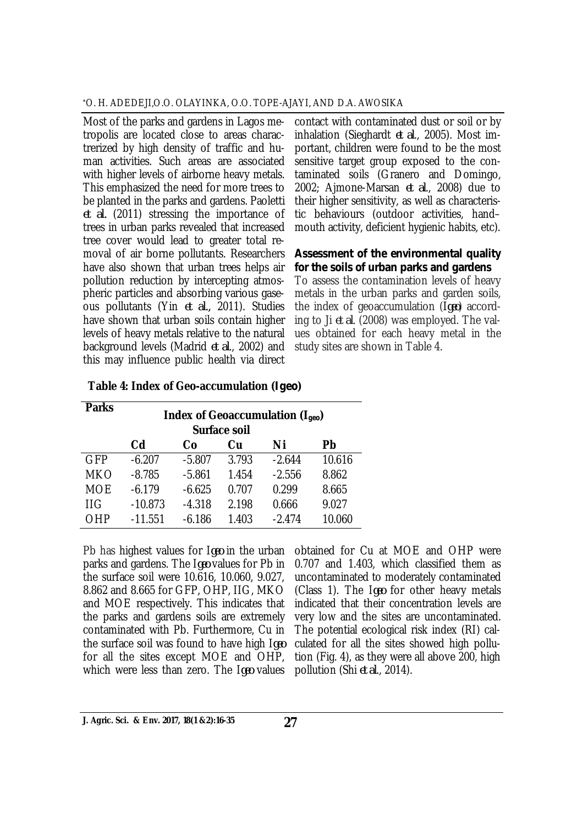Most of the parks and gardens in Lagos metropolis are located close to areas charactrerized by high density of traffic and human activities. Such areas are associated with higher levels of airborne heavy metals. This emphasized the need for more trees to be planted in the parks and gardens. Paoletti *et al.* (2011) stressing the importance of trees in urban parks revealed that increased tree cover would lead to greater total removal of air borne pollutants. Researchers have also shown that urban trees helps air pollution reduction by intercepting atmospheric particles and absorbing various gaseous pollutants (Yin *et al.,* 2011). Studies have shown that urban soils contain higher levels of heavy metals relative to the natural background levels (Madrid *et al*., 2002) and this may influence public health via direct

contact with contaminated dust or soil or by inhalation (Sieghardt *et al*., 2005). Most important, children were found to be the most sensitive target group exposed to the contaminated soils (Granero and Domingo, 2002; Ajmone-Marsan *et al*., 2008) due to their higher sensitivity, as well as characteristic behaviours (outdoor activities, hand– mouth activity, deficient hygienic habits, etc).

### *Assessment of the environmental quality for the soils of urban parks and gardens*

To assess the contamination levels of heavy metals in the urban parks and garden soils, the index of geoaccumulation (I*geo*) according to Ji *et al*. (2008) was employed. The values obtained for each heavy metal in the study sites are shown in Table 4.

| <b>Parks</b> | Index of Geoaccumulation ( $I_{geo}$ )<br>Surface soil |          |       |          |        |  |  |
|--------------|--------------------------------------------------------|----------|-------|----------|--------|--|--|
|              | C <sub>d</sub>                                         | Co       | Cu    | Ni       | Pb     |  |  |
| <b>GFP</b>   | $-6.207$                                               | $-5.807$ | 3.793 | $-2.644$ | 10.616 |  |  |
| <b>MKO</b>   | $-8.785$                                               | $-5.861$ | 1.454 | $-2.556$ | 8.862  |  |  |
| <b>MOE</b>   | $-6.179$                                               | $-6.625$ | 0.707 | 0.299    | 8.665  |  |  |
| <b>IIG</b>   | $-10.873$                                              | $-4.318$ | 2.198 | 0.666    | 9.027  |  |  |
| OHP          | $-11.551$                                              | $-6.186$ | 1.403 | $-2.474$ | 10.060 |  |  |

**Table 4: Index of Geo-accumulation (***Igeo***)**

Pb has highest values for I*geo* in the urban parks and gardens. The I*geo* values for Pb in the surface soil were 10.616, 10.060, 9.027, 8.862 and 8.665 for GFP, OHP, IIG, MKO and MOE respectively. This indicates that the parks and gardens soils are extremely contaminated with Pb. Furthermore, Cu in the surface soil was found to have high I*geo* for all the sites except MOE and OHP, which were less than zero. The I*geo* values

obtained for Cu at MOE and OHP were 0.707 and 1.403, which classified them as uncontaminated to moderately contaminated (Class 1). The I*geo* for other heavy metals indicated that their concentration levels are very low and the sites are uncontaminated. The potential ecological risk index (RI) calculated for all the sites showed high pollution (Fig. 4), as they were all above 200, high pollution (Shi *et al*., 2014).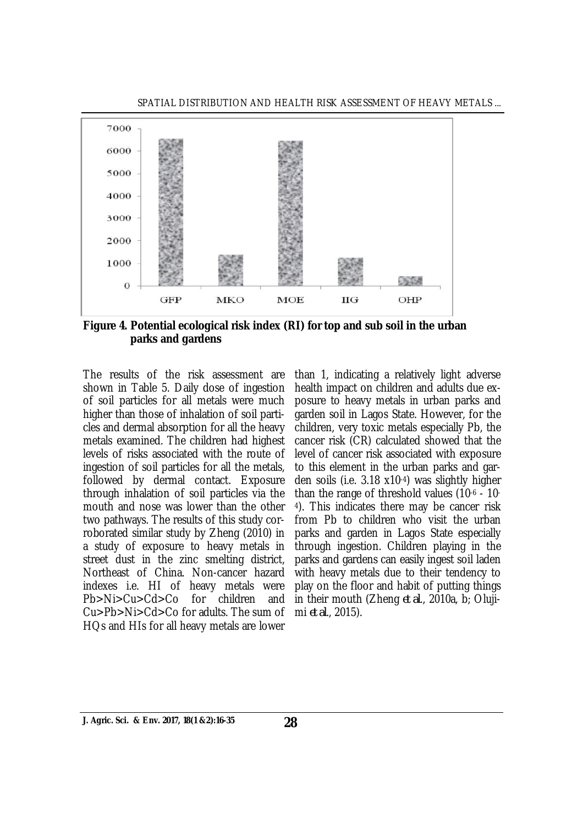

**Figure 4. Potential ecological risk index (RI) for top and sub soil in the urban parks and gardens**

The results of the risk assessment are shown in Table 5. Daily dose of ingestion of soil particles for all metals were much higher than those of inhalation of soil particles and dermal absorption for all the heavy metals examined. The children had highest levels of risks associated with the route of ingestion of soil particles for all the metals, followed by dermal contact. Exposure through inhalation of soil particles via the mouth and nose was lower than the other two pathways. The results of this study corroborated similar study by Zheng (2010) in a study of exposure to heavy metals in street dust in the zinc smelting district, Northeast of China. Non-cancer hazard indexes i.e. HI of heavy metals were Pb>Ni>Cu>Cd>Co for children and Cu>Pb>Ni>Cd>Co for adults. The sum of HQs and HIs for all heavy metals are lower

than 1, indicating a relatively light adverse health impact on children and adults due exposure to heavy metals in urban parks and garden soil in Lagos State. However, for the children, very toxic metals especially Pb, the cancer risk (CR) calculated showed that the level of cancer risk associated with exposure to this element in the urban parks and garden soils (i.e. 3.18 x10-4) was slightly higher than the range of threshold values (10-6 - 10- <sup>4</sup>). This indicates there may be cancer risk from Pb to children who visit the urban parks and garden in Lagos State especially through ingestion. Children playing in the parks and gardens can easily ingest soil laden with heavy metals due to their tendency to play on the floor and habit of putting things in their mouth (Zheng *et al*., 2010a, b; Olujimi *et al*., 2015).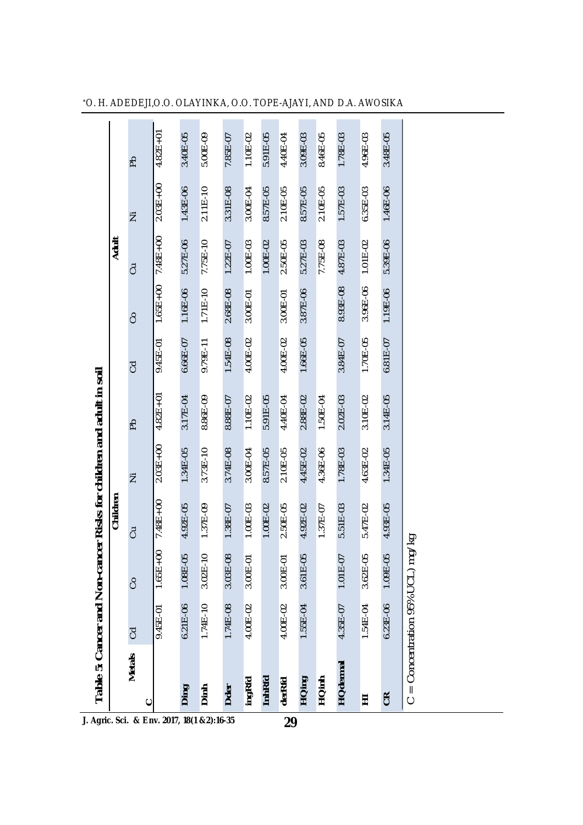|                                                 |              |              | Children     |              |              |                |              | <b>Adult</b> |              |              |
|-------------------------------------------------|--------------|--------------|--------------|--------------|--------------|----------------|--------------|--------------|--------------|--------------|
| <b>Metals</b>                                   | <b>CO</b>    | S            | JJ           | Ż            | Ъq           | $\overline{C}$ | S            | ටි           | Ξ            | ЪP           |
| ပ<br>J. Agric. Sci. & Env. 2017, 18(1 &2):16-35 | 0.45E-01     | $1.65E + 00$ | $7.48E + 00$ | $2.03E + 00$ | $4.82E+01$   | 9.45E-01       | $1.65E + 00$ | $7.48E + 00$ | $2.03E + 00$ | $4.82E + 01$ |
| Ding                                            | $6.21E-06$   | 1.08E-05     | 4.92E-05     | 1.34E-05     | 3.17E-04     | $6.66E - 07$   | 1.16E-06     | 5.27E-06     | 1.43E-06     | 3.40E-05     |
| Dinh                                            | $1.74E - 10$ | $3.02E-10$   | 1.37E-09     | $3.73E-10$   | 8.86E-09     | 9.79E-11       | $1.71E-10$   | 7.75E-10     | $2.11E-10$   | $5.00E-09$   |
| Dder                                            | 1.74E-08     | 3.03E-08     | 1.38E-07     | 3.74E-08     | 8.88E-07     | 1.54E-08       | 2.68E-08     | $1.22E - 07$ | 3.31E-08     | 7.85E-07     |
| ingRfd                                          | 4.00E-02     | 3.00E-01     | 1.00E-03     | 3.00E-04     | $1.10E - 02$ | 4.00E-02       | 3.00E-01     | 1.00E-03     | 3.00E-04     | 1.10E-02     |
| <b>InhRfd</b>                                   |              |              | 1.00E-02     | 8.57E-05     | 5.91E-05     |                |              | 1.00E-02     | 8.57E-05     | 5.91E-05     |
| derRfd<br>29                                    | 4.00E-02     | 3.00E-01     | 2.50E-05     | 2.10E-05     | 4.40E-04     | $4.00E - 02$   | 3.00E-01     | 2.50E-05     | 2.10E-05     | 4.40E-04     |
| HQing                                           | 1.55E-04     | 3.61E-05     | 4.92E-02     | 4.45E-02     | 2.88E-02     | $1.66E - 05$   | 3.87E-06     | 5.27E-03     | 8.57E-05     | 3.09E-03     |
| <b>HQinh</b>                                    |              |              | 1.37E-07     | 4.36E-06     | 1.50E-04     |                |              | 7.75E-08     | 2.10E-05     | 8.46E-05     |
| <b>HQdermal</b>                                 | 4.35E-07     | 1.01E-07     | 5.51E-03     | 1.78E-03     | 2.02E-03     | 3.84E-07       | 8.93E-08     | 4.87E-03     | 1.57E-03     | 1.78E-03     |
| Ξ                                               | 1.54E-04     | 3.62E-05     | 5.47E-02     | 4.63E-02     | $3.10E - 02$ | 1.70E-05       | 3.96E-06     | $1.01E-02$   | $6.35E - 03$ | 4.96E-03     |
| <b>CR</b>                                       | $6.23E - 06$ | 1.09E-05     | 4.93E-05     | 1.34E-05     | 3.14E-05     | 6.81E-07       | 1.19E-06     | 5.39E-06     | 1.46E-06     | 3.48E-05     |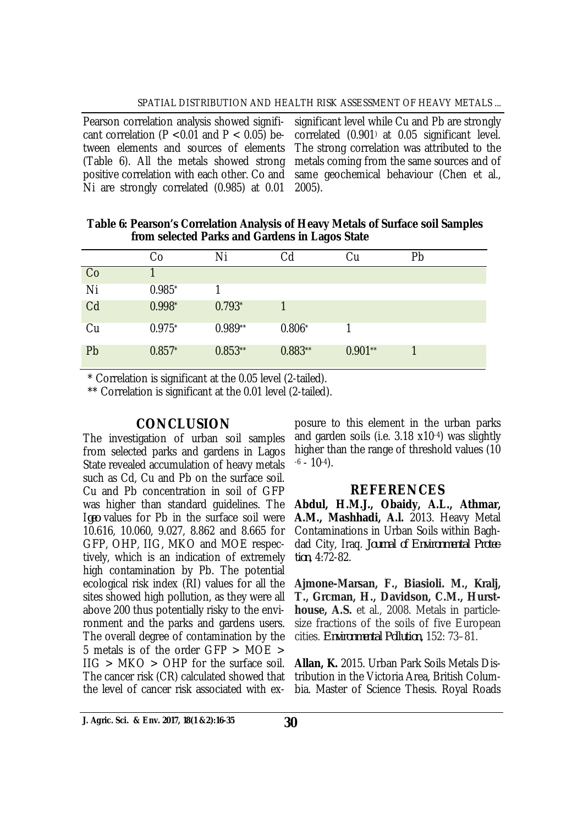Pearson correlation analysis showed significant correlation (P <  $0.01$  and P <  $0.05$ ) between elements and sources of elements (Table 6). All the metals showed strong positive correlation with each other. Co and Ni are strongly correlated (0.985) at 0.01

significant level while Cu and Pb are strongly correlated (0.901) at 0.05 significant level. The strong correlation was attributed to the metals coming from the same sources and of same geochemical behaviour (Chen et al., 2005).

**Table 6: Pearson's Correlation Analysis of Heavy Metals of Surface soil Samples from selected Parks and Gardens in Lagos State**

|    | Co       | Ni          | Cd        | Cu        | Pb |
|----|----------|-------------|-----------|-----------|----|
| Co |          |             |           |           |    |
| Ni | $0.985*$ |             |           |           |    |
| Cd | $0.998*$ | $0.793^{*}$ |           |           |    |
| Cu | $0.975*$ | $0.989**$   | $0.806*$  |           |    |
| Pb | $0.857*$ | $0.853**$   | $0.883**$ | $0.901**$ |    |

\* Correlation is significant at the 0.05 level (2-tailed).

\*\* Correlation is significant at the 0.01 level (2-tailed).

# **CONCLUSION**

The investigation of urban soil samples from selected parks and gardens in Lagos State revealed accumulation of heavy metals such as Cd, Cu and Pb on the surface soil. Cu and Pb concentration in soil of GFP was higher than standard guidelines. The I*geo* values for Pb in the surface soil were 10.616, 10.060, 9.027, 8.862 and 8.665 for GFP, OHP, IIG, MKO and MOE respectively, which is an indication of extremely high contamination by Pb. The potential ecological risk index (RI) values for all the sites showed high pollution, as they were all above 200 thus potentially risky to the environment and the parks and gardens users. The overall degree of contamination by the 5 metals is of the order GFP > MOE >  $IIG > MKO > OHP$  for the surface soil. The cancer risk (CR) calculated showed that the level of cancer risk associated with ex-

posure to this element in the urban parks and garden soils (i.e. 3.18 x10-4) was slightly higher than the range of threshold values (10  $-6 - 10^{-4}$ .

# **REFERENCES**

**Abdul, H.M.J., Obaidy, A.L., Athmar, A.M., Mashhadi, A.l.** 2013. Heavy Metal Contaminations in Urban Soils within Baghdad City, Iraq. *Journal of Environmental Protection*, 4:72-82.

**Ajmone-Marsan, F., Biasioli. M., Kralj, T., Grcman, H., Davidson, C.M., Hursthouse, A.S.** et al., 2008. Metals in particlesize fractions of the soils of five European cities. *Environmental Pollution,* 152: 73–81.

**Allan, K.** 2015. Urban Park Soils Metals Distribution in the Victoria Area, British Columbia. Master of Science Thesis. Royal Roads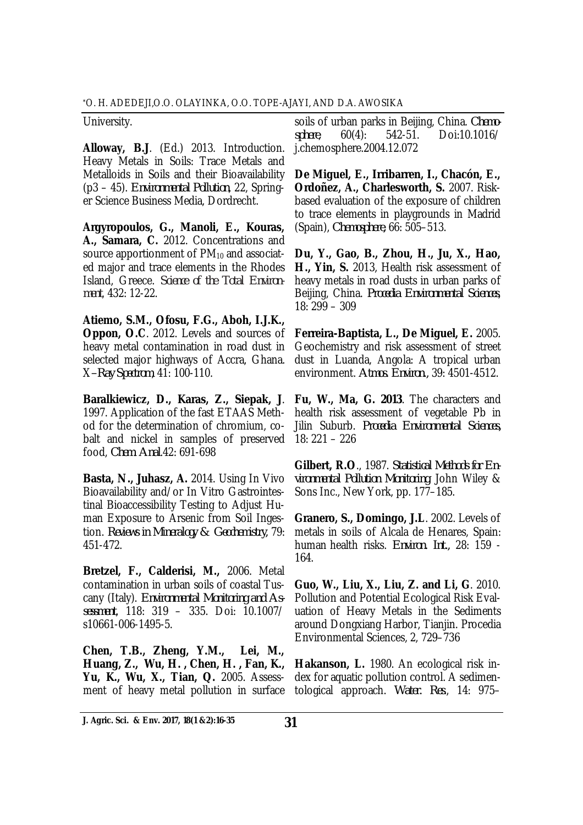University.

**Alloway, B.J**. (Ed.) 2013. Introduction. Heavy Metals in Soils: Trace Metals and Metalloids in Soils and their Bioavailability (p3 – 45). *Environmental Pollution*, 22, Springer Science Business Media, Dordrecht.

**Argyropoulos, G., Manoli, E., Kouras, A., Samara, C.** 2012. Concentrations and source apportionment of  $PM_{10}$  and associated major and trace elements in the Rhodes Island, Greece. *Science of the Total Environment*, 432: 12-22.

**Atiemo, S.M., Ofosu, F.G., Aboh, I.J.K., Oppon, O.C**. 2012. Levels and sources of heavy metal contamination in road dust in selected major highways of Accra, Ghana. X*–Ray Spectrom*, 41: 100-110.

**Baralkiewicz, D., Karas, Z., Siepak, J**. 1997. Application of the fast ETAAS Method for the determination of chromium, cobalt and nickel in samples of preserved food, *Chem. Anal*.42: 691-698

**Basta, N., Juhasz, A.** 2014. Using In Vivo Bioavailability and/or In Vitro Gastrointestinal Bioaccessibility Testing to Adjust Human Exposure to Arsenic from Soil Ingestion. *Reviews in Mineralogy & Geochemistry,* 79: 451-472.

**Bretzel, F., Calderisi, M.,** 2006. Metal contamination in urban soils of coastal Tuscany (Italy). *Environmental Monitoring and Assessment*, 118: 319 – 335. Doi: 10.1007/ s10661-006-1495-5.

**Chen, T.B., Zheng, Y.M., Lei, M., Huang, Z., Wu, H. , Chen, H. , Fan, K., Yu, K., Wu, X., Tian, Q.** 2005. Assessment of heavy metal pollution in surface

soils of urban parks in Beijing, China. *Chemosphere*, 60(4): 542-51. Doi:10.1016/ j.chemosphere.2004.12.072

**De Miguel, E., Irribarren, I., Chacón, E., Ordoñez, A., Charlesworth, S.** 2007. Riskbased evaluation of the exposure of children to trace elements in playgrounds in Madrid (Spain), *Chemosphere,* 66: 505–513.

**Du, Y., Gao, B., Zhou, H., Ju, X., Hao, H., Yin, S.** 2013, Health risk assessment of heavy metals in road dusts in urban parks of Beijing, China. *Procedia Environmental Sciences*, 18: 299 – 309

**Ferreira-Baptista, L., De Miguel, E.** 2005. Geochemistry and risk assessment of street dust in Luanda, Angola: A tropical urban environment. *Atmos. Environ.,* 39: 4501-4512.

**Fu, W., Ma, G. 2013**. The characters and health risk assessment of vegetable Pb in Jilin Suburb. *Procedia Environmental Sciences,* 18: 221 – 226

**Gilbert, R.O**., 1987. *Statistical Methods for Environmental Pollution Monitoring*. John Wiley & Sons Inc., New York, pp. 177–185.

**Granero, S., Domingo, J.L**. 2002. Levels of metals in soils of Alcala de Henares, Spain: human health risks. *Environ. Int.,* 28: 159 - 164.

**Guo, W., Liu, X., Liu, Z. and Li, G**. 2010. Pollution and Potential Ecological Risk Evaluation of Heavy Metals in the Sediments around Dongxiang Harbor, Tianjin. Procedia Environmental Sciences, 2, 729–736

**Hakanson, L.** 1980. An ecological risk index for aquatic pollution control. A sedimentological approach. *Water. Res*., 14: 975–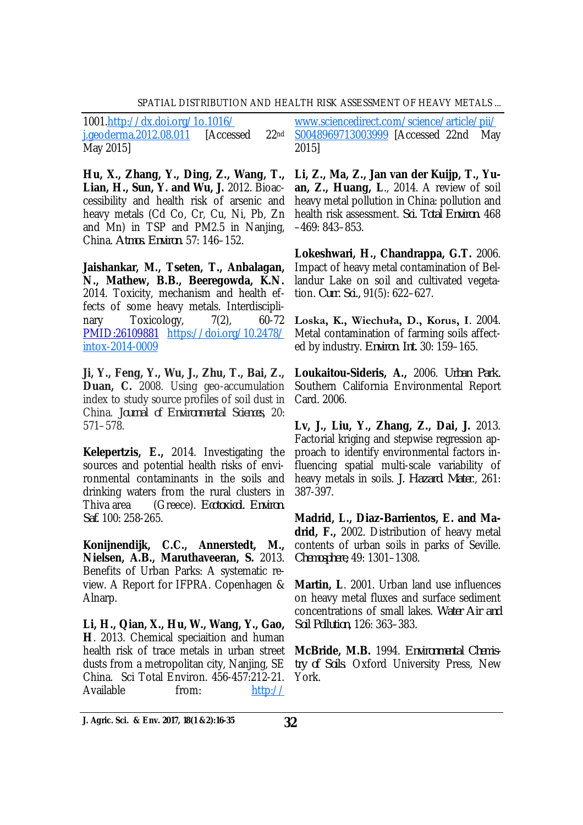#### SPATIAL DISTRIBUTION AND HEALTH RISK ASSESSMENT OF HEAVY METALS ...

1001.<http://dx.doi.org/1o.1016/> j.geoderma.2012.08.011 [Accessed 22nd May 2015]

**Hu, X., Zhang, Y., Ding, Z., Wang, T., Lian, H., Sun, Y. and Wu, J.** 2012. Bioaccessibility and health risk of arsenic and heavy metals (Cd Co, Cr, Cu, Ni, Pb, Zn and Mn) in TSP and PM2.5 in Nanjing, China. *Atmos. Environ.* 57: 146–152.

**Jaishankar, M., Tseten, T., Anbalagan, N., Mathew, B.B., Beeregowda, K.N.** 2014. Toxicity, mechanism and health effects of some heavy metals. Interdisciplinary Toxicology, 7(2), 60-72 PMID:26109881 <https://doi.org/10.2478/> intox-2014-0009

**Ji, Y., Feng, Y., Wu, J., Zhu, T., Bai, Z., Duan, C.** 2008. Using geo-accumulation index to study source profiles of soil dust in China. *Journal of Environmental Sciences,* 20: 571–578.

**Kelepertzis, E.,** 2014. Investigating the sources and potential health risks of environmental contaminants in the soils and drinking waters from the rural clusters in Thiva area (Greece). *Ecotoxicol. Environ. Saf.* 100: 258-265.

**Konijnendijk, C.C., Annerstedt, M., Nielsen, A.B., Maruthaveeran, S.** 2013. Benefits of Urban Parks: A systematic review. A Report for IFPRA. Copenhagen & Alnarp.

**Li, H., Qian, X., Hu, W., Wang, Y., Gao, H**. 2013. Chemical speciaition and human health risk of trace metals in urban street dusts from a metropolitan city, Nanjing, SE China. Sci Total Environ. 456-457:212-21. Available from: <http://>

[www.sciencedirect.com/science/article/pii/](http://www.sciencedirect.com/science/article/pii/) S0048969713003999 [Accessed 22nd May 2015]

**Li, Z., Ma, Z., Jan van der Kuijp, T., Yuan, Z., Huang, L**., 2014. A review of soil heavy metal pollution in China: pollution and health risk assessment. *Sci. Total Environ.* 468 –469: 843–853.

**Lokeshwari, H., Chandrappa, G.T.** 2006. Impact of heavy metal contamination of Bellandur Lake on soil and cultivated vegetation. *Curr. Sci.,* 91(5): 622–627.

**Loska, K., Wiechuła, D., Korus, I**. 2004. Metal contamination of farming soils affected by industry. *Environ. Int.* 30: 159–165.

**Loukaitou-Sideris, A.,** 2006. *Urban Park.* Southern California Environmental Report Card. 2006.

**Lv, J., Liu, Y., Zhang, Z., Dai, J.** 2013. Factorial kriging and stepwise regression approach to identify environmental factors influencing spatial multi-scale variability of heavy metals in soils. *J. Hazard. Mater*., 261: 387-397.

**Madrid, L., Diaz-Barrientos, E. and Madrid, F.,** 2002. Distribution of heavy metal contents of urban soils in parks of Seville. *Chemosphere,* 49: 1301–1308.

**Martin, L**. 2001. Urban land use influences on heavy metal fluxes and surface sediment concentrations of small lakes. *Water Air and Soil Pollution,* 126: 363–383.

**McBride, M.B.** 1994. *Environmental Chemistry of Soils*. Oxford University Press, New York.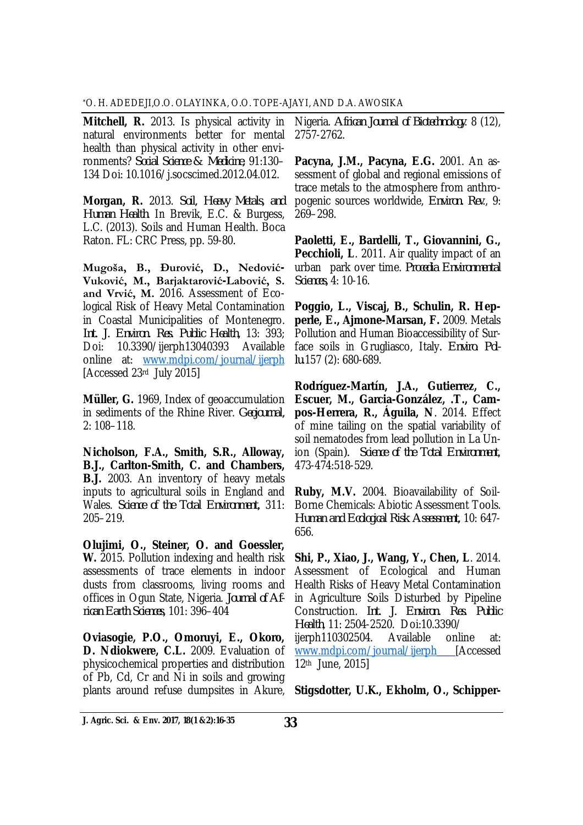**Mitchell, R.** 2013. Is physical activity in natural environments better for mental health than physical activity in other environments? *Social Science & Medicine,* 91:130– 134 Doi: 10.1016/j.socscimed.2012.04.012.

**Morgan, R.** 2013. *Soil, Heavy Metals, and Human Health*. In Brevik, E.C. & Burgess, L.C. (2013). Soils and Human Health. Boca Raton. FL: CRC Press, pp. 59-80.

**Mugoša, B., Ðurović, D., Nedović-Vuković, M., Barjaktarović-Labović, S. and Vrvić, M.** 2016. Assessment of Ecological Risk of Heavy Metal Contamination in Coastal Municipalities of Montenegro. *Int. J. Environ. Res. Public Health,* 13: 393; Doi: 10.3390/ijerph13040393 Available online at: [www.mdpi.com/journal/ijerph](http://www.mdpi.com/journal/ijerph) [Accessed 23rd July 2015]

**Müller, G.** 1969, Index of geoaccumulation in sediments of the Rhine River. *Geojournal,* 2: 108–118.

**Nicholson, F.A., Smith, S.R., Alloway, B.J., Carlton-Smith, C. and Chambers, B.J.** 2003. An inventory of heavy metals inputs to agricultural soils in England and Wales. *Science of the Total Environment,* 311: 205–219.

**Olujimi, O., Steiner, O. and Goessler, W.** 2015. Pollution indexing and health risk assessments of trace elements in indoor dusts from classrooms, living rooms and offices in Ogun State, Nigeria. *Journal of African Earth Sciences,* 101: 396–404

**Oviasogie, P.O., Omoruyi, E., Okoro, D. Ndiokwere, C.L.** 2009. Evaluation of physicochemical properties and distribution of Pb, Cd, Cr and Ni in soils and growing plants around refuse dumpsites in Akure,

Nigeria. *African Journal of Biotechnology*. 8 (12), 2757-2762.

**Pacyna, J.M., Pacyna, E.G.** 2001. An assessment of global and regional emissions of trace metals to the atmosphere from anthropogenic sources worldwide, *Environ. Rev*., 9: 269–298.

**Paoletti, E., Bardelli, T., Giovannini, G., Pecchioli, L**. 2011. Air quality impact of an urban park over time. *Procedia Environmental Sciences,* 4: 10-16.

**Poggio, L., Viscaj, B., Schulin, R. Hepperle, E., Ajmone-Marsan, F.** 2009. Metals Pollution and Human Bioaccessibility of Surface soils in Grugliasco, Italy*. Enviro. Pollu*.157 (2): 680-689.

**Rodríguez-Martín, J.A., Gutierrez, C., Escuer, M., Garcia-González, .T., Campos-Herrera, R., Águila, N**. 2014. Effect of mine tailing on the spatial variability of soil nematodes from lead pollution in La Union (Spain*). Science of the Total Environment*, 473-474:518-529.

**Ruby, M.V.** 2004. Bioavailability of Soil-Borne Chemicals: Abiotic Assessment Tools. *Human and Ecological Risk Assessment,* 10: 647- 656.

**Shi, P., Xiao, J., Wang, Y., Chen, L**. 2014. Assessment of Ecological and Human Health Risks of Heavy Metal Contamination in Agriculture Soils Disturbed by Pipeline Construction. *Int. J. Environ. Res. Public Health*, 11: 2504-2520. Doi:10.3390/ ijerph110302504. Available online at: www.mdpi.com/journal/jierph [Accessed 12th June, 2015]

**Stigsdotter, U.K., Ekholm, O., Schipper-**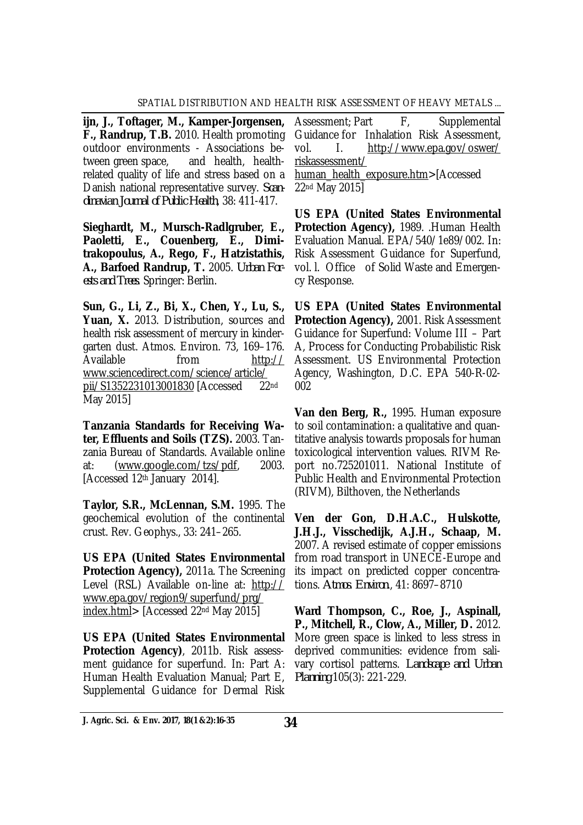**ijn, J., Toftager, M., Kamper-Jorgensen, F., Randrup, T.B.** 2010. Health promoting outdoor environments - Associations between green space, and health, healthrelated quality of life and stress based on a Danish national representative survey. *Scandinavian Journal of Public Health*, 38: 411-417.

**Sieghardt, M., Mursch-Radlgruber, E., Paoletti, E., Couenberg, E., Dimitrakopoulus, A., Rego, F., Hatzistathis, A., Barfoed Randrup, T.** 2005. *Urban Forests and Trees*. Springer: Berlin.

**Sun, G., Li, Z., Bi, X., Chen, Y., Lu, S.,**  Yuan, X. 2013. Distribution, sources and health risk assessment of mercury in kindergarten dust. Atmos. Environ. 73, 169–176. Available from <http://> [www.sciencedirect.com/science/article/](http://www.sciencedirect.com/science/article/) pii/S1352231013001830 [Accessed 22nd May 2015]

**Tanzania Standards for Receiving Water, Effluents and Soils (TZS).** 2003. Tanzania Bureau of Standards. Available online at: [\(www.google.com/tzs/pdf,](http://www.google.com/tzs/pdf,) 2003. [Accessed 12th January 2014].

**Taylor, S.R., McLennan, S.M.** 1995. The geochemical evolution of the continental crust. Rev. Geophys., 33: 241–265.

**US EPA (United States Environmental Protection Agency),** 2011a. The Screening Level (RSL) Available on-line at: <http://> [www.epa.gov/region9/superfund/prg/](http://www.epa.gov/region9/superfund/prg/) index.html> [Accessed 22nd May 2015]

**US EPA (United States Environmental Protection Agency)**, 2011b. Risk assessment guidance for superfund. In: Part A: Human Health Evaluation Manual; Part E, Supplemental Guidance for Dermal Risk

Assessment; Part F, Supplemental Guidance for Inhalation Risk Assessment, vol. I. <http://www.epa.gov/oswer/> riskassessment/ human\_health\_exposure.htm>[Accessed 22nd May 2015]

**US EPA (United States Environmental Protection Agency),** 1989. .Human Health Evaluation Manual. EPA/540/1e89/002. In: Risk Assessment Guidance for Superfund, vol. l. Office of Solid Waste and Emergency Response.

**US EPA (United States Environmental Protection Agency),** 2001. Risk Assessment Guidance for Superfund: Volume III – Part A, Process for Conducting Probabilistic Risk Assessment. US Environmental Protection Agency, Washington, D.C. EPA 540-R-02- 002

**Van den Berg, R.,** 1995. Human exposure to soil contamination: a qualitative and quantitative analysis towards proposals for human toxicological intervention values. RIVM Report no.725201011. National Institute of Public Health and Environmental Protection (RIVM), Bilthoven, the Netherlands

**Ven der Gon, D.H.A.C., Hulskotte, J.H.J., Visschedijk, A.J.H., Schaap, M.** 2007. A revised estimate of copper emissions from road transport in UNECE-Europe and its impact on predicted copper concentrations. *Atmos*. *Environ*., 41: 8697–8710

**Ward Thompson, C., Roe, J., Aspinall, P., Mitchell, R., Clow, A., Miller, D.** 2012. More green space is linked to less stress in deprived communities: evidence from salivary cortisol patterns. *Landscape and Urban Planning* 105(3): 221-229.